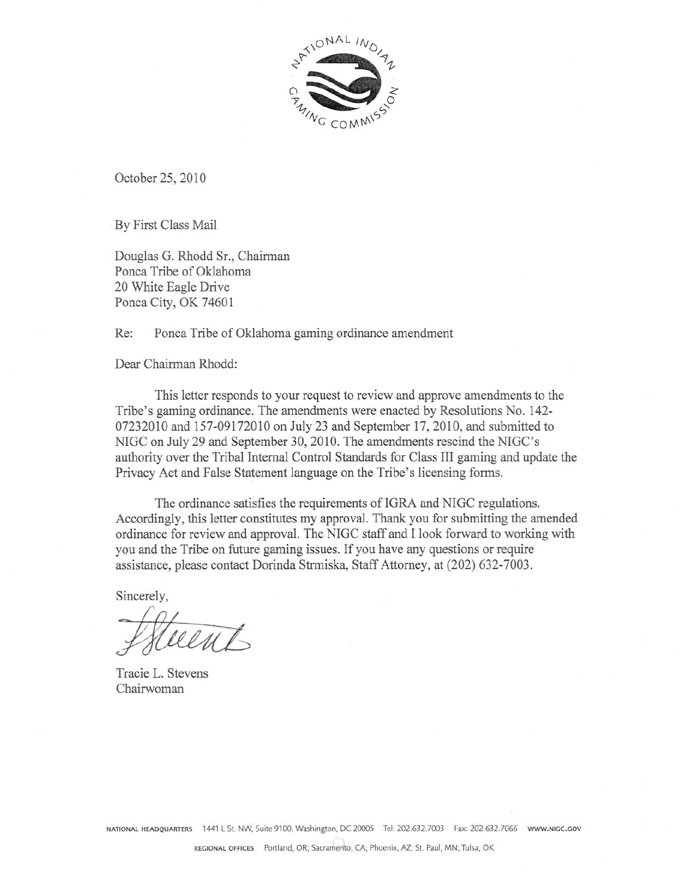

October 25, 2010

By First Class Mail

Douglas G. Rhodd Sr., Chairman Ponca Tribe of Oklahoma 20 White Eagle Drive Ponca City, OK 74601

Re: Ponca Tribe of Oklahoma gaming ordinance amendment

Dear Chairman Rhodd:

This letter responds to your request to review and approve amendments to the Tribe's gaming ordinance. The amendments were enacted by Resolutions No. 142-07232010 and 157-09172010 on July 23 and September 17, 2010, and submitted to NIGC on July 29 and September 30, 2010. The amendments rescind the NIGC's authority over the Tribal Internal Control Standards for Class III gaming and update the Privacy Act and False Statement language on the Tribe's licensing forms.

The ordinance satisfies the requirements of IGRA and NIGC regulations. Accordingly, this letter constitutes my approval. Thank you for submitting the amended ordinance for review and approval. The NIGC staff and I look forward to working with you and the Tribe on future gaming issues. If you have any questions or require assistance, please contact Dorinda Strmiska, Staff Attorney, at (202) 632-7003.

Sincerely,

Tracie L. Stevens Chairwoman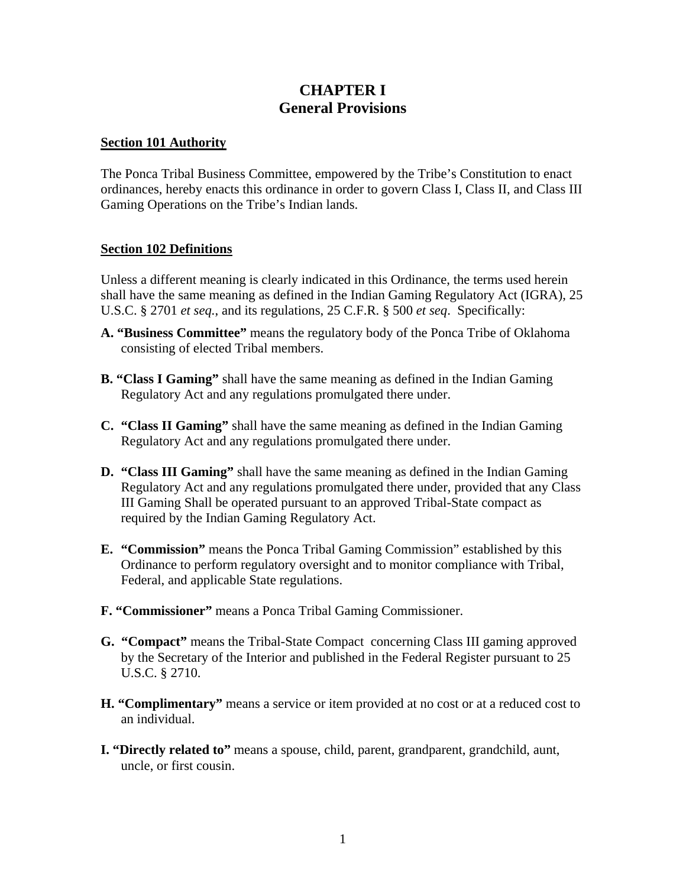# **CHAPTER I General Provisions**

### **Section 101 Authority**

The Ponca Tribal Business Committee, empowered by the Tribe's Constitution to enact ordinances, hereby enacts this ordinance in order to govern Class I, Class II, and Class III Gaming Operations on the Tribe's Indian lands.

# **Section 102 Definitions**

Unless a different meaning is clearly indicated in this Ordinance, the terms used herein shall have the same meaning as defined in the Indian Gaming Regulatory Act (IGRA), 25 U.S.C. § 2701 *et seq.*, and its regulations, 25 C.F.R. § 500 *et seq*. Specifically:

- **A. "Business Committee"** means the regulatory body of the Ponca Tribe of Oklahoma consisting of elected Tribal members.
- **B. "Class I Gaming"** shall have the same meaning as defined in the Indian Gaming Regulatory Act and any regulations promulgated there under.
- **C. "Class II Gaming"** shall have the same meaning as defined in the Indian Gaming Regulatory Act and any regulations promulgated there under.
- **D. "Class III Gaming"** shall have the same meaning as defined in the Indian Gaming Regulatory Act and any regulations promulgated there under, provided that any Class III Gaming Shall be operated pursuant to an approved Tribal-State compact as required by the Indian Gaming Regulatory Act.
- **E. "Commission"** means the Ponca Tribal Gaming Commission" established by this Ordinance to perform regulatory oversight and to monitor compliance with Tribal, Federal, and applicable State regulations.
- **F. "Commissioner"** means a Ponca Tribal Gaming Commissioner.
- **G. "Compact"** means the Tribal-State Compact concerning Class III gaming approved by the Secretary of the Interior and published in the Federal Register pursuant to 25 U.S.C. § 2710.
- **H. "Complimentary"** means a service or item provided at no cost or at a reduced cost to an individual.
- **I. "Directly related to"** means a spouse, child, parent, grandparent, grandchild, aunt, uncle, or first cousin.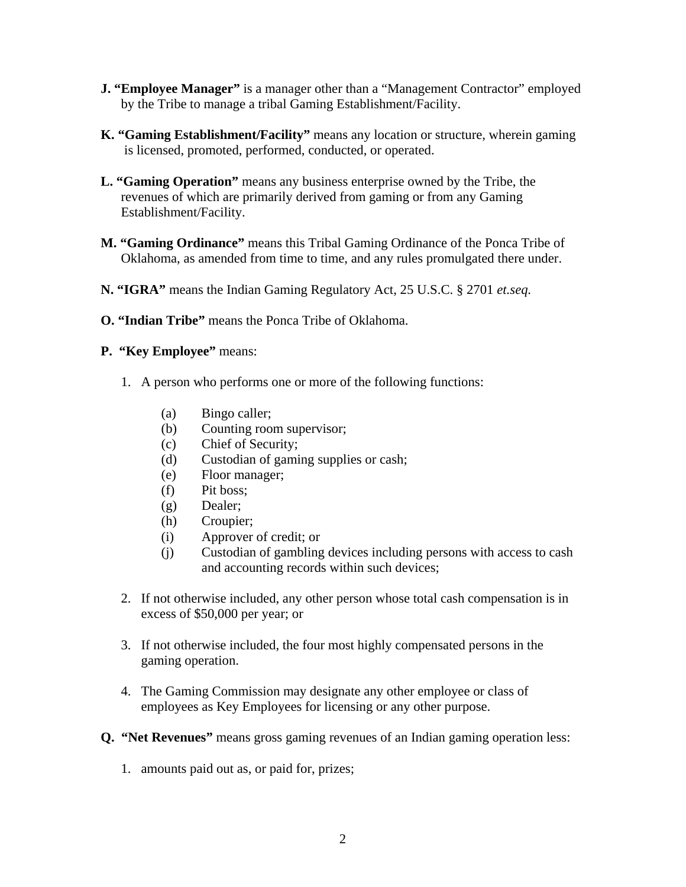- **J. "Employee Manager"** is a manager other than a "Management Contractor" employed by the Tribe to manage a tribal Gaming Establishment/Facility.
- **K. "Gaming Establishment/Facility"** means any location or structure, wherein gaming is licensed, promoted, performed, conducted, or operated.
- **L. "Gaming Operation"** means any business enterprise owned by the Tribe, the revenues of which are primarily derived from gaming or from any Gaming Establishment/Facility.
- **M. "Gaming Ordinance"** means this Tribal Gaming Ordinance of the Ponca Tribe of Oklahoma, as amended from time to time, and any rules promulgated there under.
- **N. "IGRA"** means the Indian Gaming Regulatory Act, 25 U.S.C. § 2701 *et.seq.*
- **O. "Indian Tribe"** means the Ponca Tribe of Oklahoma.
- **P. "Key Employee"** means:
	- 1. A person who performs one or more of the following functions:
		- (a) Bingo caller;
		- (b) Counting room supervisor;
		- (c) Chief of Security;
		- (d) Custodian of gaming supplies or cash;
		- (e) Floor manager;
		- (f) Pit boss;
		- (g) Dealer;
		- (h) Croupier;
		- (i) Approver of credit; or
		- (j) Custodian of gambling devices including persons with access to cash and accounting records within such devices;
	- 2. If not otherwise included, any other person whose total cash compensation is in excess of \$50,000 per year; or
	- 3. If not otherwise included, the four most highly compensated persons in the gaming operation.
	- 4. The Gaming Commission may designate any other employee or class of employees as Key Employees for licensing or any other purpose.
- **Q. "Net Revenues"** means gross gaming revenues of an Indian gaming operation less:
	- 1. amounts paid out as, or paid for, prizes;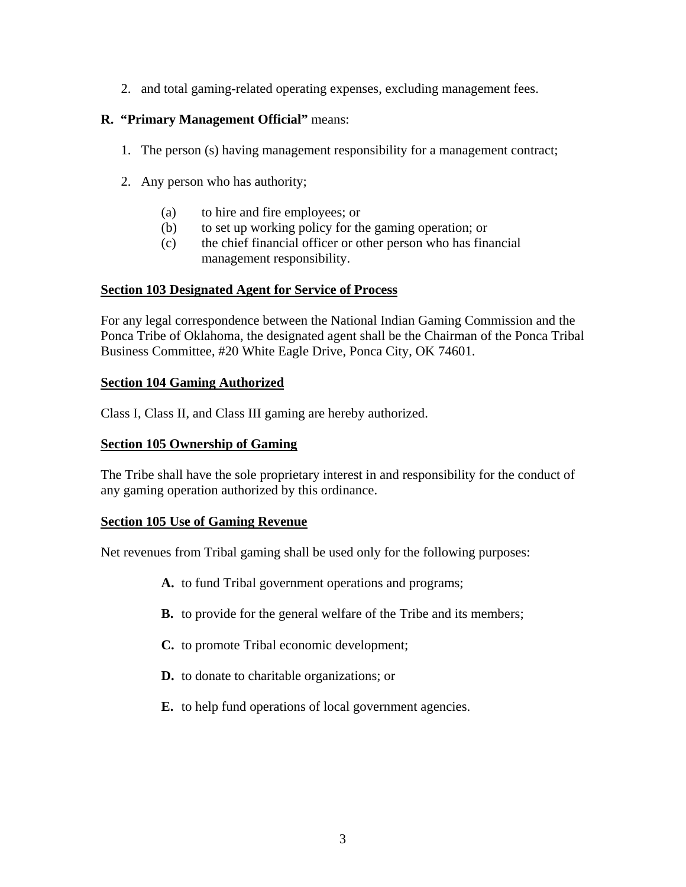2. and total gaming-related operating expenses, excluding management fees.

# **R. "Primary Management Official"** means:

- 1. The person (s) having management responsibility for a management contract;
- 2. Any person who has authority;
	- (a) to hire and fire employees; or
	- (b) to set up working policy for the gaming operation; or
	- (c) the chief financial officer or other person who has financial management responsibility.

# **Section 103 Designated Agent for Service of Process**

For any legal correspondence between the National Indian Gaming Commission and the Ponca Tribe of Oklahoma, the designated agent shall be the Chairman of the Ponca Tribal Business Committee, #20 White Eagle Drive, Ponca City, OK 74601.

# **Section 104 Gaming Authorized**

Class I, Class II, and Class III gaming are hereby authorized.

### **Section 105 Ownership of Gaming**

The Tribe shall have the sole proprietary interest in and responsibility for the conduct of any gaming operation authorized by this ordinance.

#### **Section 105 Use of Gaming Revenue**

Net revenues from Tribal gaming shall be used only for the following purposes:

- **A.** to fund Tribal government operations and programs;
- **B.** to provide for the general welfare of the Tribe and its members;
- **C.** to promote Tribal economic development;
- **D.** to donate to charitable organizations; or
- **E.** to help fund operations of local government agencies.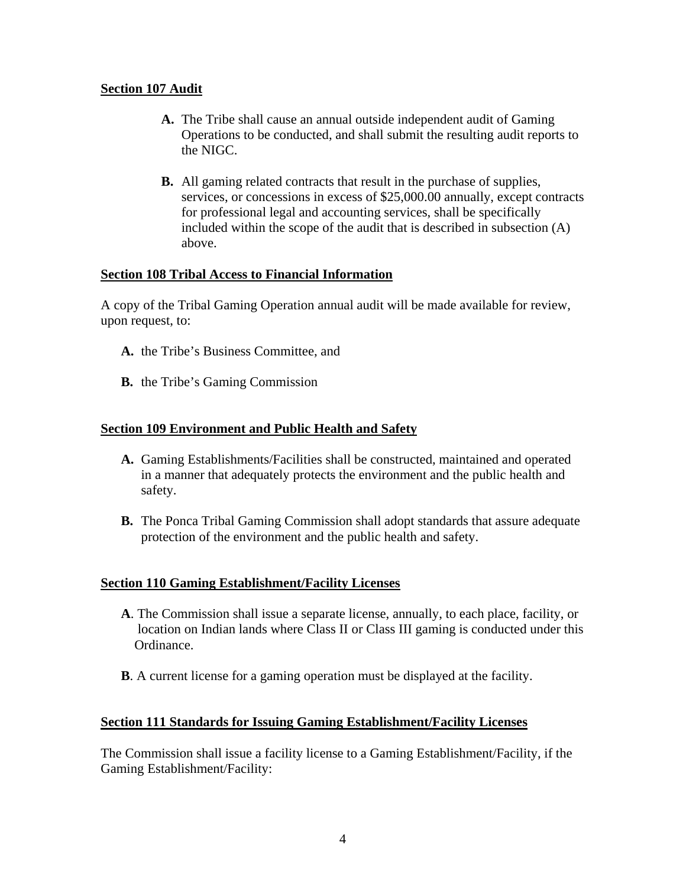# **Section 107 Audit**

- **A.** The Tribe shall cause an annual outside independent audit of Gaming Operations to be conducted, and shall submit the resulting audit reports to the NIGC.
- **B.** All gaming related contracts that result in the purchase of supplies, services, or concessions in excess of \$25,000.00 annually, except contracts for professional legal and accounting services, shall be specifically included within the scope of the audit that is described in subsection (A) above.

# **Section 108 Tribal Access to Financial Information**

A copy of the Tribal Gaming Operation annual audit will be made available for review, upon request, to:

- **A.** the Tribe's Business Committee, and
- **B.** the Tribe's Gaming Commission

# **Section 109 Environment and Public Health and Safety**

- **A.** Gaming Establishments/Facilities shall be constructed, maintained and operated in a manner that adequately protects the environment and the public health and safety.
- **B.** The Ponca Tribal Gaming Commission shall adopt standards that assure adequate protection of the environment and the public health and safety.

#### **Section 110 Gaming Establishment/Facility Licenses**

- **A**. The Commission shall issue a separate license, annually, to each place, facility, or location on Indian lands where Class II or Class III gaming is conducted under this Ordinance.
- **B**. A current license for a gaming operation must be displayed at the facility.

#### **Section 111 Standards for Issuing Gaming Establishment/Facility Licenses**

The Commission shall issue a facility license to a Gaming Establishment/Facility, if the Gaming Establishment/Facility: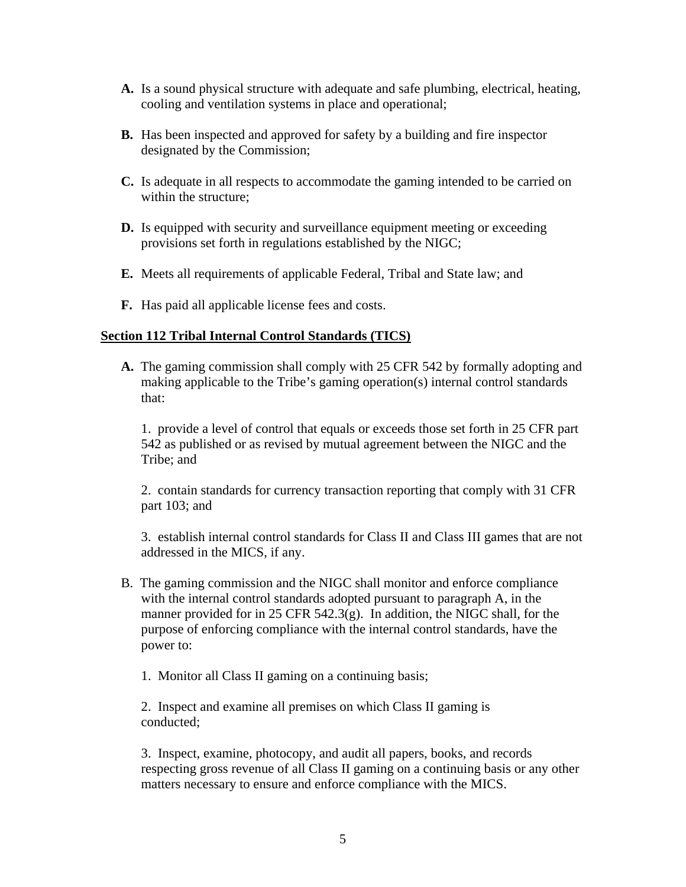- **A.** Is a sound physical structure with adequate and safe plumbing, electrical, heating, cooling and ventilation systems in place and operational;
- **B.** Has been inspected and approved for safety by a building and fire inspector designated by the Commission;
- **C.** Is adequate in all respects to accommodate the gaming intended to be carried on within the structure;
- **D.** Is equipped with security and surveillance equipment meeting or exceeding provisions set forth in regulations established by the NIGC;
- **E.** Meets all requirements of applicable Federal, Tribal and State law; and
- **F.** Has paid all applicable license fees and costs.

# **Section 112 Tribal Internal Control Standards (TICS)**

**A.** The gaming commission shall comply with 25 CFR 542 by formally adopting and making applicable to the Tribe's gaming operation(s) internal control standards that:

 1. provide a level of control that equals or exceeds those set forth in 25 CFR part 542 as published or as revised by mutual agreement between the NIGC and the Tribe; and

 2. contain standards for currency transaction reporting that comply with 31 CFR part 103; and

 3. establish internal control standards for Class II and Class III games that are not addressed in the MICS, if any.

- B. The gaming commission and the NIGC shall monitor and enforce compliance with the internal control standards adopted pursuant to paragraph A, in the manner provided for in 25 CFR 542.3(g). In addition, the NIGC shall, for the purpose of enforcing compliance with the internal control standards, have the power to:
	- 1. Monitor all Class II gaming on a continuing basis;

 2. Inspect and examine all premises on which Class II gaming is conducted;

3. Inspect, examine, photocopy, and audit all papers, books, and records respecting gross revenue of all Class II gaming on a continuing basis or any other matters necessary to ensure and enforce compliance with the MICS.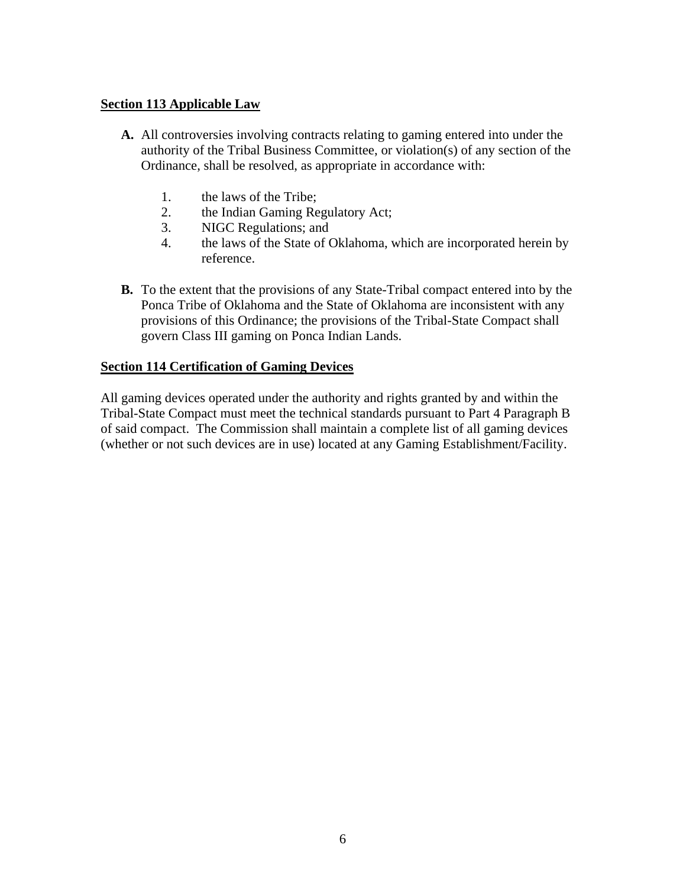### **Section 113 Applicable Law**

- **A.** All controversies involving contracts relating to gaming entered into under the authority of the Tribal Business Committee, or violation(s) of any section of the Ordinance, shall be resolved, as appropriate in accordance with:
	- 1. the laws of the Tribe;
	- 2. the Indian Gaming Regulatory Act;
	- 3. NIGC Regulations; and
	- 4. the laws of the State of Oklahoma, which are incorporated herein by reference.
- **B.** To the extent that the provisions of any State-Tribal compact entered into by the Ponca Tribe of Oklahoma and the State of Oklahoma are inconsistent with any provisions of this Ordinance; the provisions of the Tribal-State Compact shall govern Class III gaming on Ponca Indian Lands.

# **Section 114 Certification of Gaming Devices**

All gaming devices operated under the authority and rights granted by and within the Tribal-State Compact must meet the technical standards pursuant to Part 4 Paragraph B of said compact. The Commission shall maintain a complete list of all gaming devices (whether or not such devices are in use) located at any Gaming Establishment/Facility.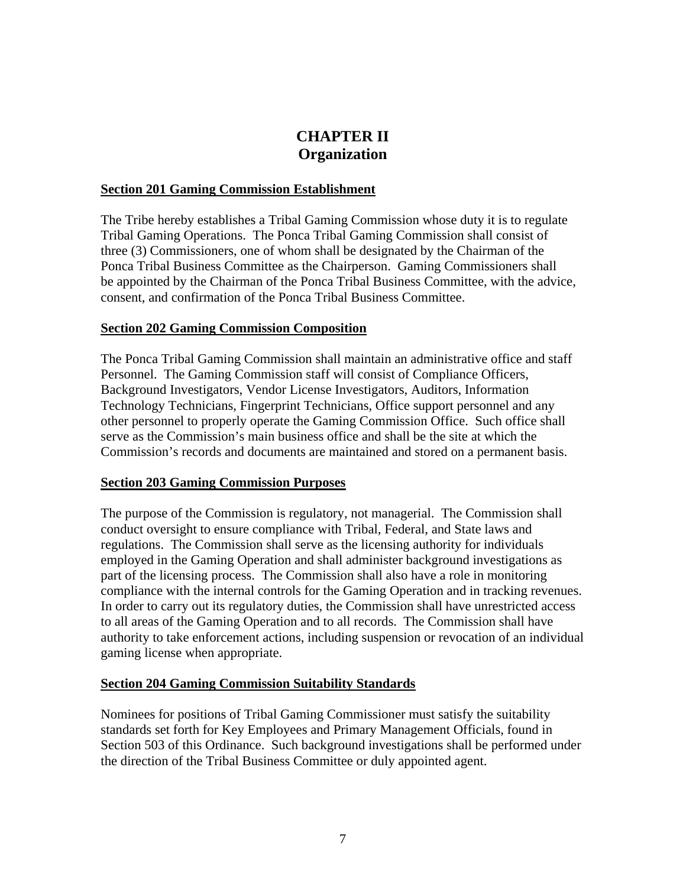# **CHAPTER II Organization**

#### **Section 201 Gaming Commission Establishment**

The Tribe hereby establishes a Tribal Gaming Commission whose duty it is to regulate Tribal Gaming Operations. The Ponca Tribal Gaming Commission shall consist of three (3) Commissioners, one of whom shall be designated by the Chairman of the Ponca Tribal Business Committee as the Chairperson. Gaming Commissioners shall be appointed by the Chairman of the Ponca Tribal Business Committee, with the advice, consent, and confirmation of the Ponca Tribal Business Committee.

# **Section 202 Gaming Commission Composition**

The Ponca Tribal Gaming Commission shall maintain an administrative office and staff Personnel. The Gaming Commission staff will consist of Compliance Officers, Background Investigators, Vendor License Investigators, Auditors, Information Technology Technicians, Fingerprint Technicians, Office support personnel and any other personnel to properly operate the Gaming Commission Office. Such office shall serve as the Commission's main business office and shall be the site at which the Commission's records and documents are maintained and stored on a permanent basis.

#### **Section 203 Gaming Commission Purposes**

The purpose of the Commission is regulatory, not managerial. The Commission shall conduct oversight to ensure compliance with Tribal, Federal, and State laws and regulations. The Commission shall serve as the licensing authority for individuals employed in the Gaming Operation and shall administer background investigations as part of the licensing process. The Commission shall also have a role in monitoring compliance with the internal controls for the Gaming Operation and in tracking revenues. In order to carry out its regulatory duties, the Commission shall have unrestricted access to all areas of the Gaming Operation and to all records. The Commission shall have authority to take enforcement actions, including suspension or revocation of an individual gaming license when appropriate.

#### **Section 204 Gaming Commission Suitability Standards**

Nominees for positions of Tribal Gaming Commissioner must satisfy the suitability standards set forth for Key Employees and Primary Management Officials, found in Section 503 of this Ordinance. Such background investigations shall be performed under the direction of the Tribal Business Committee or duly appointed agent.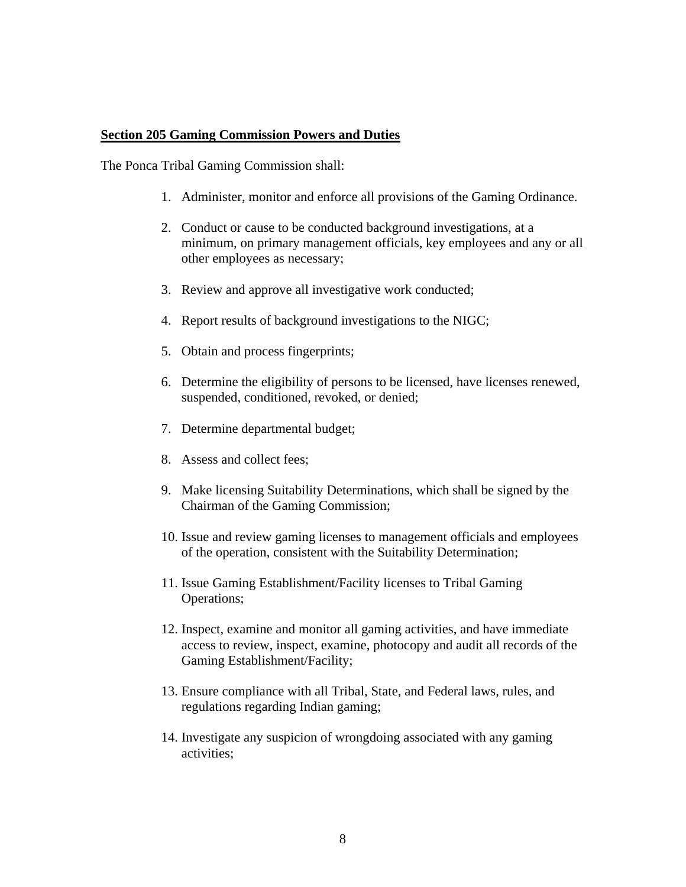#### **Section 205 Gaming Commission Powers and Duties**

The Ponca Tribal Gaming Commission shall:

- 1. Administer, monitor and enforce all provisions of the Gaming Ordinance.
- 2. Conduct or cause to be conducted background investigations, at a minimum, on primary management officials, key employees and any or all other employees as necessary;
- 3. Review and approve all investigative work conducted;
- 4. Report results of background investigations to the NIGC;
- 5. Obtain and process fingerprints;
- 6. Determine the eligibility of persons to be licensed, have licenses renewed, suspended, conditioned, revoked, or denied;
- 7. Determine departmental budget;
- 8. Assess and collect fees;
- 9. Make licensing Suitability Determinations, which shall be signed by the Chairman of the Gaming Commission;
- 10. Issue and review gaming licenses to management officials and employees of the operation, consistent with the Suitability Determination;
- 11. Issue Gaming Establishment/Facility licenses to Tribal Gaming Operations;
- 12. Inspect, examine and monitor all gaming activities, and have immediate access to review, inspect, examine, photocopy and audit all records of the Gaming Establishment/Facility;
- 13. Ensure compliance with all Tribal, State, and Federal laws, rules, and regulations regarding Indian gaming;
- 14. Investigate any suspicion of wrongdoing associated with any gaming activities;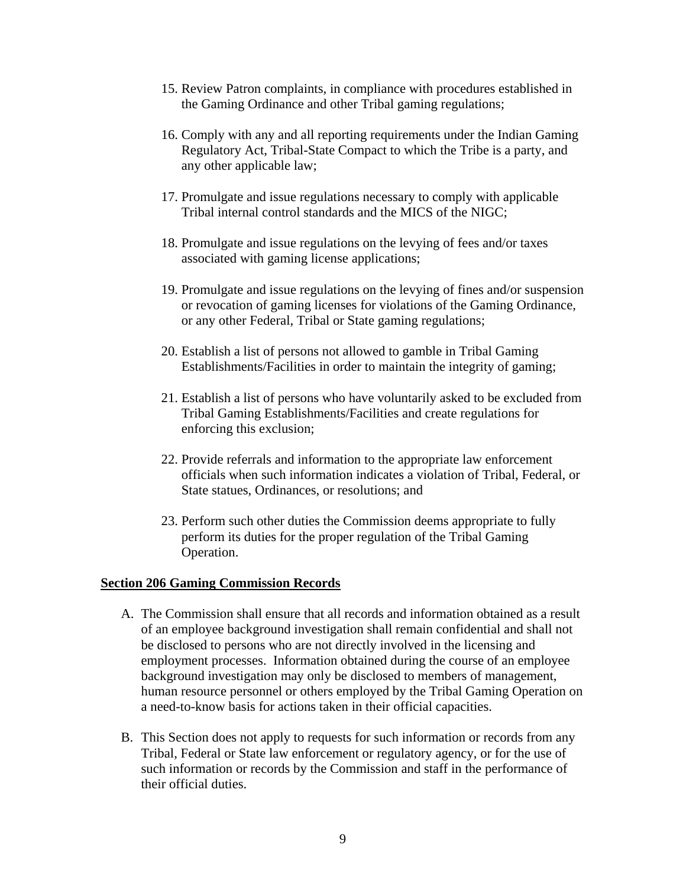- 15. Review Patron complaints, in compliance with procedures established in the Gaming Ordinance and other Tribal gaming regulations;
- 16. Comply with any and all reporting requirements under the Indian Gaming Regulatory Act, Tribal-State Compact to which the Tribe is a party, and any other applicable law;
- 17. Promulgate and issue regulations necessary to comply with applicable Tribal internal control standards and the MICS of the NIGC;
- 18. Promulgate and issue regulations on the levying of fees and/or taxes associated with gaming license applications;
- 19. Promulgate and issue regulations on the levying of fines and/or suspension or revocation of gaming licenses for violations of the Gaming Ordinance, or any other Federal, Tribal or State gaming regulations;
- 20. Establish a list of persons not allowed to gamble in Tribal Gaming Establishments/Facilities in order to maintain the integrity of gaming;
- 21. Establish a list of persons who have voluntarily asked to be excluded from Tribal Gaming Establishments/Facilities and create regulations for enforcing this exclusion;
- 22. Provide referrals and information to the appropriate law enforcement officials when such information indicates a violation of Tribal, Federal, or State statues, Ordinances, or resolutions; and
- 23. Perform such other duties the Commission deems appropriate to fully perform its duties for the proper regulation of the Tribal Gaming Operation.

#### **Section 206 Gaming Commission Records**

- A. The Commission shall ensure that all records and information obtained as a result of an employee background investigation shall remain confidential and shall not be disclosed to persons who are not directly involved in the licensing and employment processes. Information obtained during the course of an employee background investigation may only be disclosed to members of management, human resource personnel or others employed by the Tribal Gaming Operation on a need-to-know basis for actions taken in their official capacities.
- B. This Section does not apply to requests for such information or records from any Tribal, Federal or State law enforcement or regulatory agency, or for the use of such information or records by the Commission and staff in the performance of their official duties.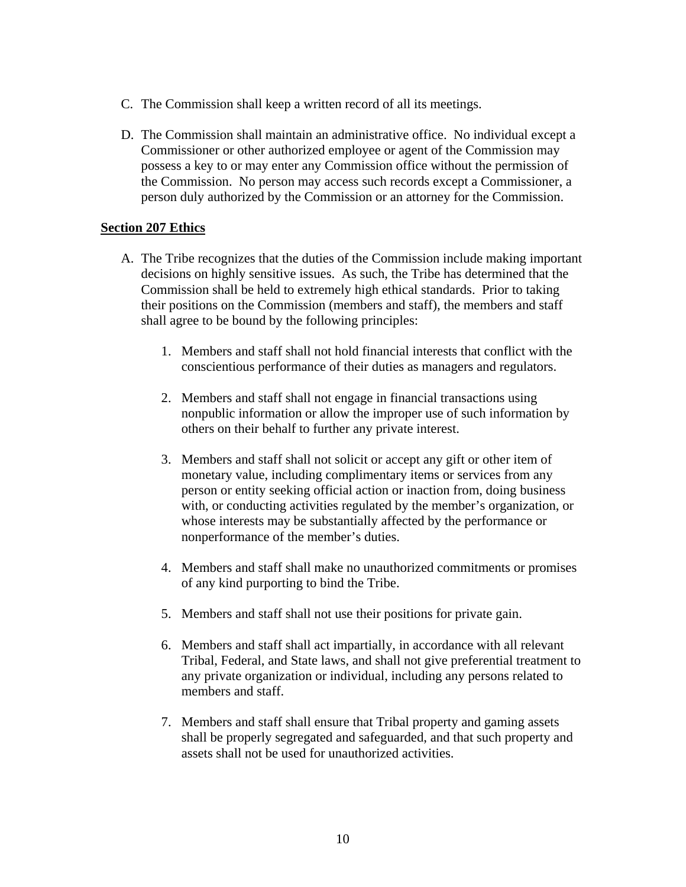- C. The Commission shall keep a written record of all its meetings.
- D. The Commission shall maintain an administrative office. No individual except a Commissioner or other authorized employee or agent of the Commission may possess a key to or may enter any Commission office without the permission of the Commission. No person may access such records except a Commissioner, a person duly authorized by the Commission or an attorney for the Commission.

### **Section 207 Ethics**

- A. The Tribe recognizes that the duties of the Commission include making important decisions on highly sensitive issues. As such, the Tribe has determined that the Commission shall be held to extremely high ethical standards. Prior to taking their positions on the Commission (members and staff), the members and staff shall agree to be bound by the following principles:
	- 1. Members and staff shall not hold financial interests that conflict with the conscientious performance of their duties as managers and regulators.
	- 2. Members and staff shall not engage in financial transactions using nonpublic information or allow the improper use of such information by others on their behalf to further any private interest.
	- 3. Members and staff shall not solicit or accept any gift or other item of monetary value, including complimentary items or services from any person or entity seeking official action or inaction from, doing business with, or conducting activities regulated by the member's organization, or whose interests may be substantially affected by the performance or nonperformance of the member's duties.
	- 4. Members and staff shall make no unauthorized commitments or promises of any kind purporting to bind the Tribe.
	- 5. Members and staff shall not use their positions for private gain.
	- 6. Members and staff shall act impartially, in accordance with all relevant Tribal, Federal, and State laws, and shall not give preferential treatment to any private organization or individual, including any persons related to members and staff.
	- 7. Members and staff shall ensure that Tribal property and gaming assets shall be properly segregated and safeguarded, and that such property and assets shall not be used for unauthorized activities.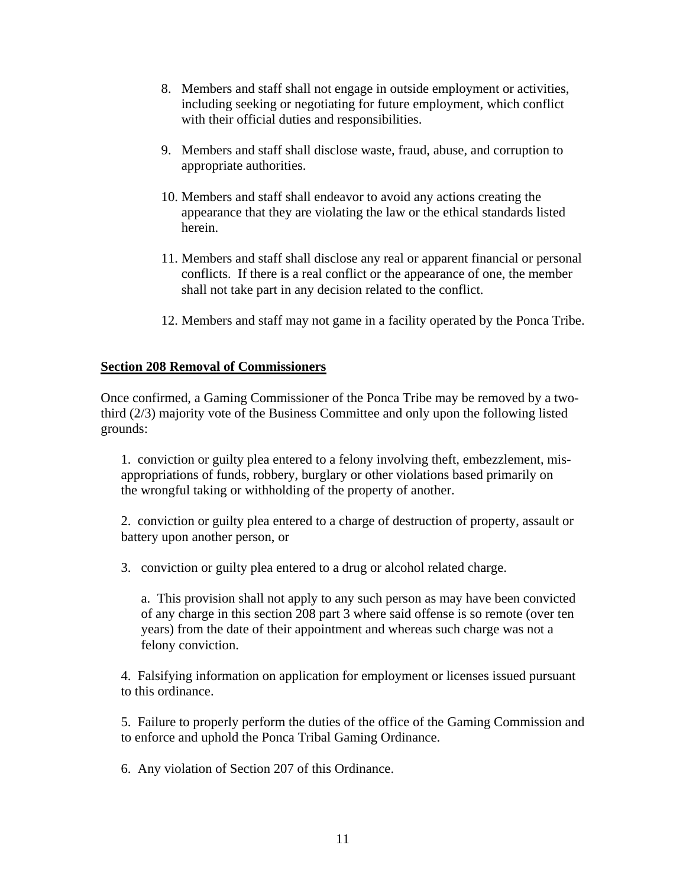- 8. Members and staff shall not engage in outside employment or activities, including seeking or negotiating for future employment, which conflict with their official duties and responsibilities.
- 9. Members and staff shall disclose waste, fraud, abuse, and corruption to appropriate authorities.
- 10. Members and staff shall endeavor to avoid any actions creating the appearance that they are violating the law or the ethical standards listed herein.
- 11. Members and staff shall disclose any real or apparent financial or personal conflicts. If there is a real conflict or the appearance of one, the member shall not take part in any decision related to the conflict.
- 12. Members and staff may not game in a facility operated by the Ponca Tribe.

#### **Section 208 Removal of Commissioners**

Once confirmed, a Gaming Commissioner of the Ponca Tribe may be removed by a twothird (2/3) majority vote of the Business Committee and only upon the following listed grounds:

 1. conviction or guilty plea entered to a felony involving theft, embezzlement, mis appropriations of funds, robbery, burglary or other violations based primarily on the wrongful taking or withholding of the property of another.

 2. conviction or guilty plea entered to a charge of destruction of property, assault or battery upon another person, or

3. conviction or guilty plea entered to a drug or alcohol related charge.

 a. This provision shall not apply to any such person as may have been convicted of any charge in this section 208 part 3 where said offense is so remote (over ten years) from the date of their appointment and whereas such charge was not a felony conviction.

 4. Falsifying information on application for employment or licenses issued pursuant to this ordinance.

 5. Failure to properly perform the duties of the office of the Gaming Commission and to enforce and uphold the Ponca Tribal Gaming Ordinance.

6. Any violation of Section 207 of this Ordinance.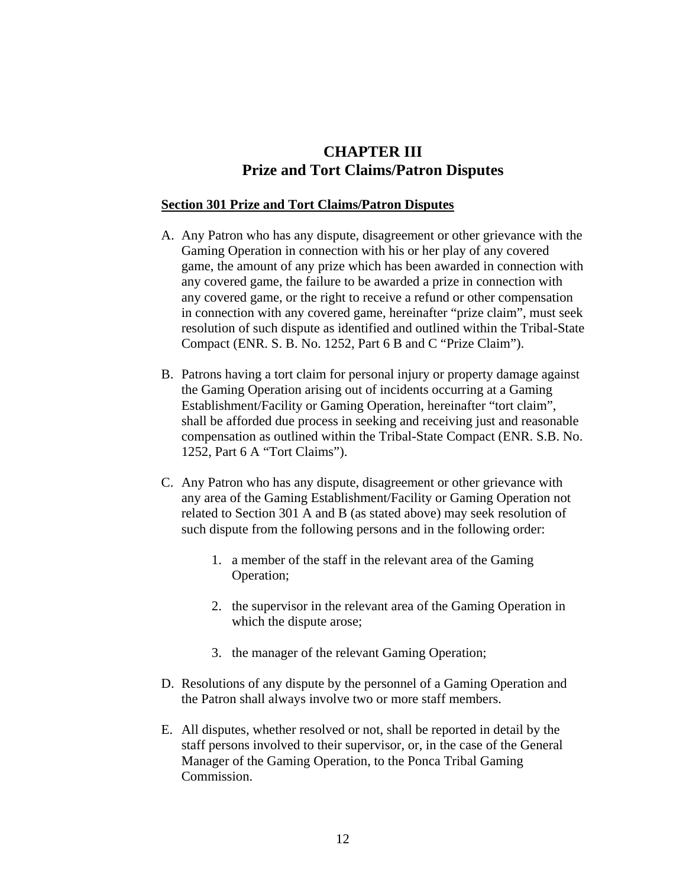# **CHAPTER III Prize and Tort Claims/Patron Disputes**

#### **Section 301 Prize and Tort Claims/Patron Disputes**

- A. Any Patron who has any dispute, disagreement or other grievance with the Gaming Operation in connection with his or her play of any covered game, the amount of any prize which has been awarded in connection with any covered game, the failure to be awarded a prize in connection with any covered game, or the right to receive a refund or other compensation in connection with any covered game, hereinafter "prize claim", must seek resolution of such dispute as identified and outlined within the Tribal-State Compact (ENR. S. B. No. 1252, Part 6 B and C "Prize Claim").
- B. Patrons having a tort claim for personal injury or property damage against the Gaming Operation arising out of incidents occurring at a Gaming Establishment/Facility or Gaming Operation, hereinafter "tort claim", shall be afforded due process in seeking and receiving just and reasonable compensation as outlined within the Tribal-State Compact (ENR. S.B. No. 1252, Part 6 A "Tort Claims").
- C. Any Patron who has any dispute, disagreement or other grievance with any area of the Gaming Establishment/Facility or Gaming Operation not related to Section 301 A and B (as stated above) may seek resolution of such dispute from the following persons and in the following order:
	- 1. a member of the staff in the relevant area of the Gaming Operation;
	- 2. the supervisor in the relevant area of the Gaming Operation in which the dispute arose;
	- 3. the manager of the relevant Gaming Operation;
- D. Resolutions of any dispute by the personnel of a Gaming Operation and the Patron shall always involve two or more staff members.
- E. All disputes, whether resolved or not, shall be reported in detail by the staff persons involved to their supervisor, or, in the case of the General Manager of the Gaming Operation, to the Ponca Tribal Gaming Commission.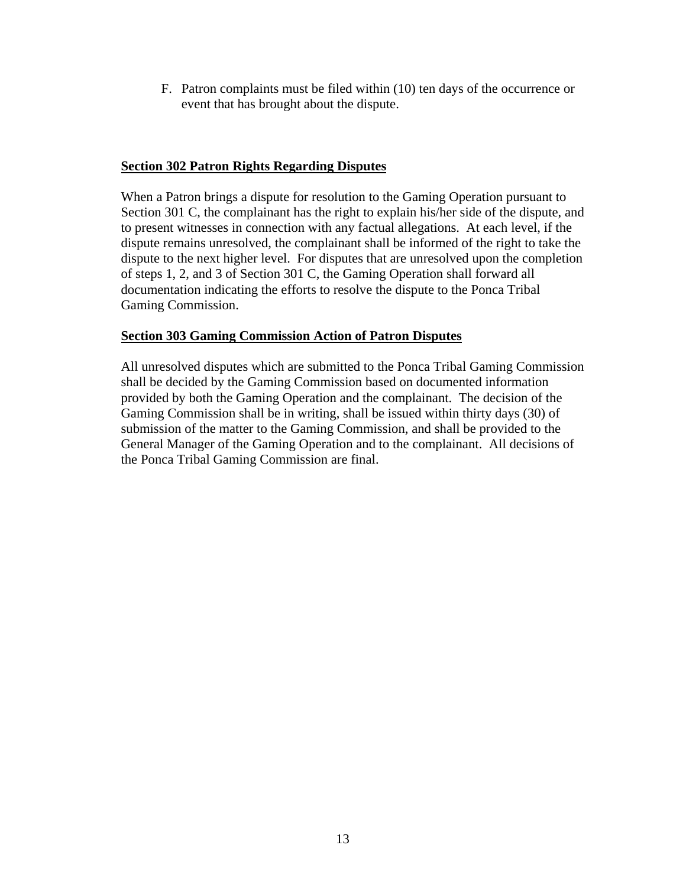F. Patron complaints must be filed within (10) ten days of the occurrence or event that has brought about the dispute.

# **Section 302 Patron Rights Regarding Disputes**

When a Patron brings a dispute for resolution to the Gaming Operation pursuant to Section 301 C, the complainant has the right to explain his/her side of the dispute, and to present witnesses in connection with any factual allegations. At each level, if the dispute remains unresolved, the complainant shall be informed of the right to take the dispute to the next higher level. For disputes that are unresolved upon the completion of steps 1, 2, and 3 of Section 301 C, the Gaming Operation shall forward all documentation indicating the efforts to resolve the dispute to the Ponca Tribal Gaming Commission.

# **Section 303 Gaming Commission Action of Patron Disputes**

All unresolved disputes which are submitted to the Ponca Tribal Gaming Commission shall be decided by the Gaming Commission based on documented information provided by both the Gaming Operation and the complainant. The decision of the Gaming Commission shall be in writing, shall be issued within thirty days (30) of submission of the matter to the Gaming Commission, and shall be provided to the General Manager of the Gaming Operation and to the complainant. All decisions of the Ponca Tribal Gaming Commission are final.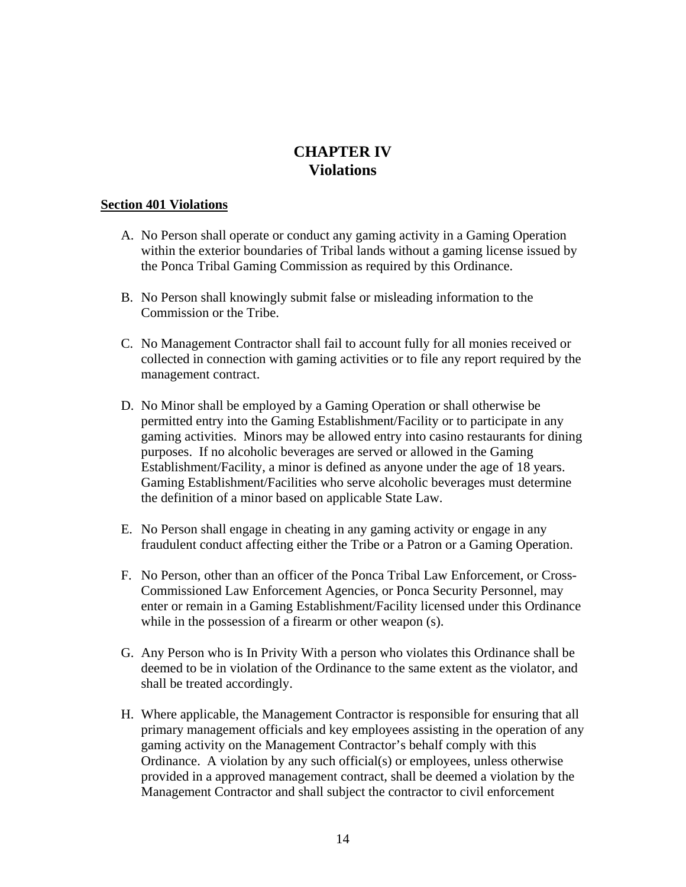# **CHAPTER IV Violations**

#### **Section 401 Violations**

- A. No Person shall operate or conduct any gaming activity in a Gaming Operation within the exterior boundaries of Tribal lands without a gaming license issued by the Ponca Tribal Gaming Commission as required by this Ordinance.
- B. No Person shall knowingly submit false or misleading information to the Commission or the Tribe.
- C. No Management Contractor shall fail to account fully for all monies received or collected in connection with gaming activities or to file any report required by the management contract.
- D. No Minor shall be employed by a Gaming Operation or shall otherwise be permitted entry into the Gaming Establishment/Facility or to participate in any gaming activities. Minors may be allowed entry into casino restaurants for dining purposes. If no alcoholic beverages are served or allowed in the Gaming Establishment/Facility, a minor is defined as anyone under the age of 18 years. Gaming Establishment/Facilities who serve alcoholic beverages must determine the definition of a minor based on applicable State Law.
- E. No Person shall engage in cheating in any gaming activity or engage in any fraudulent conduct affecting either the Tribe or a Patron or a Gaming Operation.
- F. No Person, other than an officer of the Ponca Tribal Law Enforcement, or Cross-Commissioned Law Enforcement Agencies, or Ponca Security Personnel, may enter or remain in a Gaming Establishment/Facility licensed under this Ordinance while in the possession of a firearm or other weapon (s).
- G. Any Person who is In Privity With a person who violates this Ordinance shall be deemed to be in violation of the Ordinance to the same extent as the violator, and shall be treated accordingly.
- H. Where applicable, the Management Contractor is responsible for ensuring that all primary management officials and key employees assisting in the operation of any gaming activity on the Management Contractor's behalf comply with this Ordinance. A violation by any such official(s) or employees, unless otherwise provided in a approved management contract, shall be deemed a violation by the Management Contractor and shall subject the contractor to civil enforcement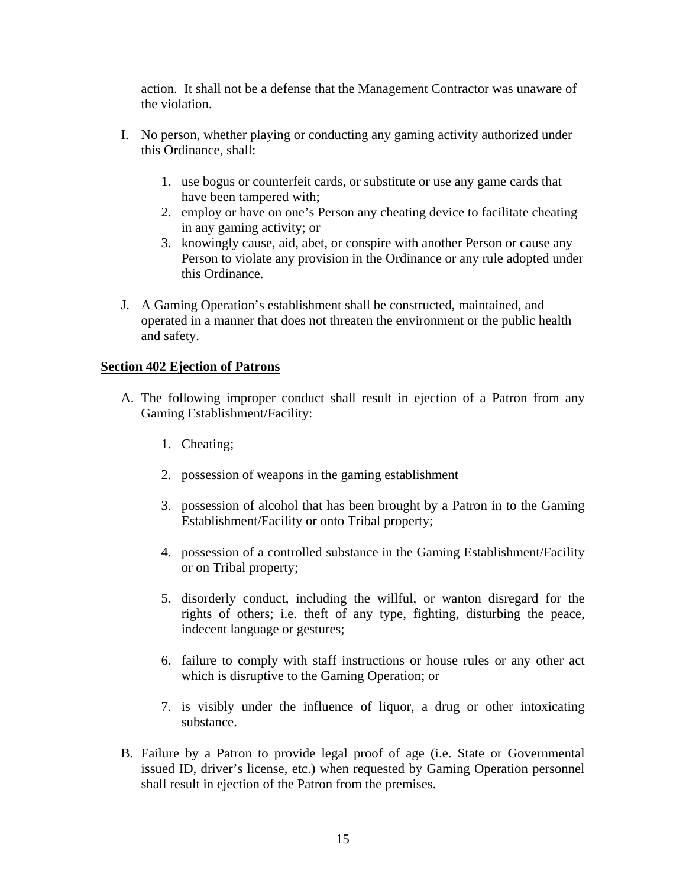action. It shall not be a defense that the Management Contractor was unaware of the violation.

- I. No person, whether playing or conducting any gaming activity authorized under this Ordinance, shall:
	- 1. use bogus or counterfeit cards, or substitute or use any game cards that have been tampered with;
	- 2. employ or have on one's Person any cheating device to facilitate cheating in any gaming activity; or
	- 3. knowingly cause, aid, abet, or conspire with another Person or cause any Person to violate any provision in the Ordinance or any rule adopted under this Ordinance.
- J. A Gaming Operation's establishment shall be constructed, maintained, and operated in a manner that does not threaten the environment or the public health and safety.

#### **Section 402 Ejection of Patrons**

- A. The following improper conduct shall result in ejection of a Patron from any Gaming Establishment/Facility:
	- 1. Cheating;
	- 2. possession of weapons in the gaming establishment
	- 3. possession of alcohol that has been brought by a Patron in to the Gaming Establishment/Facility or onto Tribal property;
	- 4. possession of a controlled substance in the Gaming Establishment/Facility or on Tribal property;
	- 5. disorderly conduct, including the willful, or wanton disregard for the rights of others; i.e. theft of any type, fighting, disturbing the peace, indecent language or gestures;
	- 6. failure to comply with staff instructions or house rules or any other act which is disruptive to the Gaming Operation; or
	- 7. is visibly under the influence of liquor, a drug or other intoxicating substance.
- B. Failure by a Patron to provide legal proof of age (i.e. State or Governmental issued ID, driver's license, etc.) when requested by Gaming Operation personnel shall result in ejection of the Patron from the premises.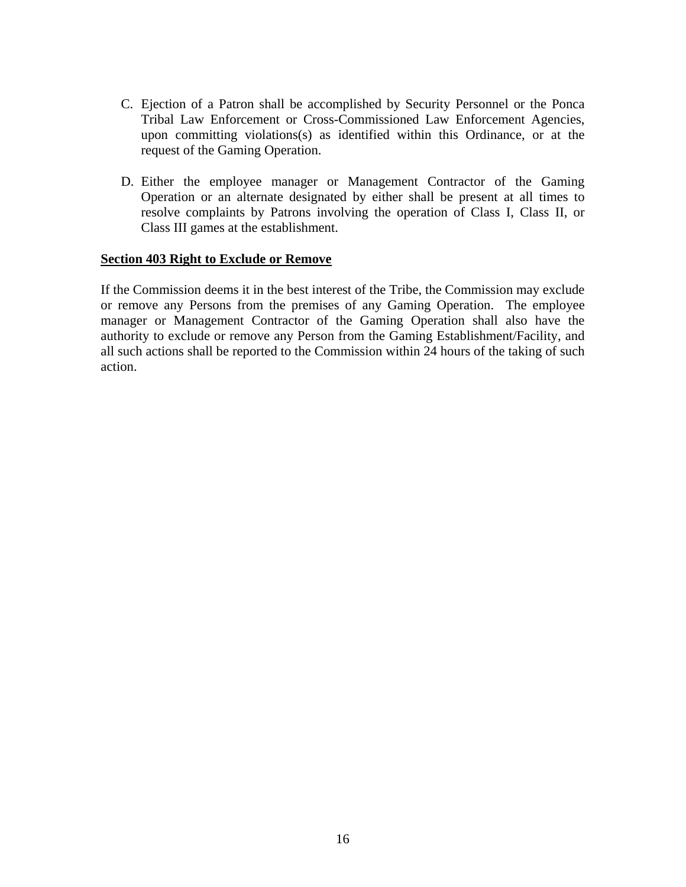- C. Ejection of a Patron shall be accomplished by Security Personnel or the Ponca Tribal Law Enforcement or Cross-Commissioned Law Enforcement Agencies, upon committing violations(s) as identified within this Ordinance, or at the request of the Gaming Operation.
- D. Either the employee manager or Management Contractor of the Gaming Operation or an alternate designated by either shall be present at all times to resolve complaints by Patrons involving the operation of Class I, Class II, or Class III games at the establishment.

#### **Section 403 Right to Exclude or Remove**

If the Commission deems it in the best interest of the Tribe, the Commission may exclude or remove any Persons from the premises of any Gaming Operation. The employee manager or Management Contractor of the Gaming Operation shall also have the authority to exclude or remove any Person from the Gaming Establishment/Facility, and all such actions shall be reported to the Commission within 24 hours of the taking of such action.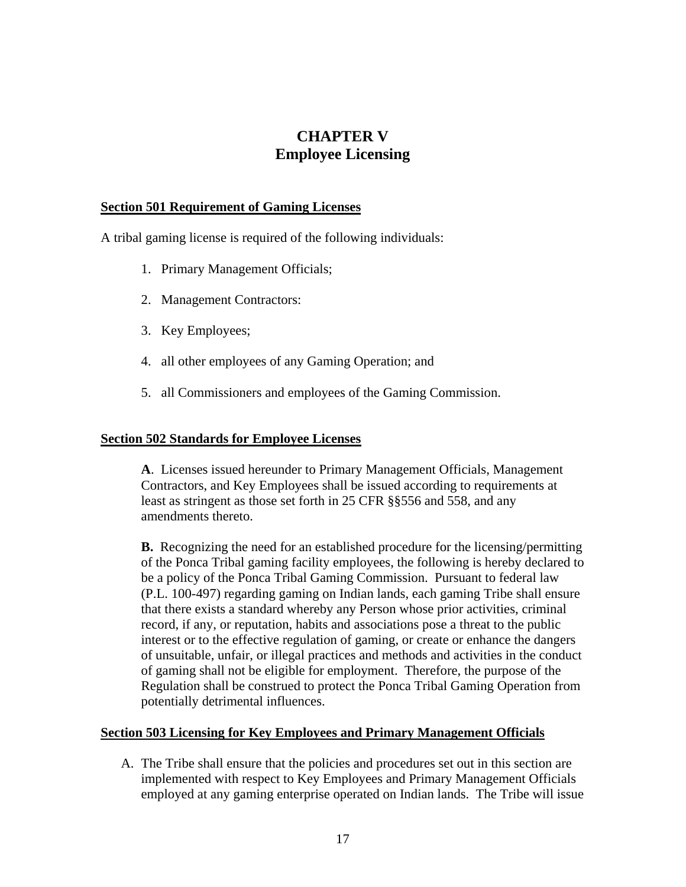# **CHAPTER V Employee Licensing**

#### **Section 501 Requirement of Gaming Licenses**

A tribal gaming license is required of the following individuals:

- 1. Primary Management Officials;
- 2. Management Contractors:
- 3. Key Employees;
- 4. all other employees of any Gaming Operation; and
- 5. all Commissioners and employees of the Gaming Commission.

#### **Section 502 Standards for Employee Licenses**

**A**. Licenses issued hereunder to Primary Management Officials, Management Contractors, and Key Employees shall be issued according to requirements at least as stringent as those set forth in 25 CFR §§556 and 558, and any amendments thereto.

**B.** Recognizing the need for an established procedure for the licensing/permitting of the Ponca Tribal gaming facility employees, the following is hereby declared to be a policy of the Ponca Tribal Gaming Commission. Pursuant to federal law (P.L. 100-497) regarding gaming on Indian lands, each gaming Tribe shall ensure that there exists a standard whereby any Person whose prior activities, criminal record, if any, or reputation, habits and associations pose a threat to the public interest or to the effective regulation of gaming, or create or enhance the dangers of unsuitable, unfair, or illegal practices and methods and activities in the conduct of gaming shall not be eligible for employment. Therefore, the purpose of the Regulation shall be construed to protect the Ponca Tribal Gaming Operation from potentially detrimental influences.

#### **Section 503 Licensing for Key Employees and Primary Management Officials**

A. The Tribe shall ensure that the policies and procedures set out in this section are implemented with respect to Key Employees and Primary Management Officials employed at any gaming enterprise operated on Indian lands. The Tribe will issue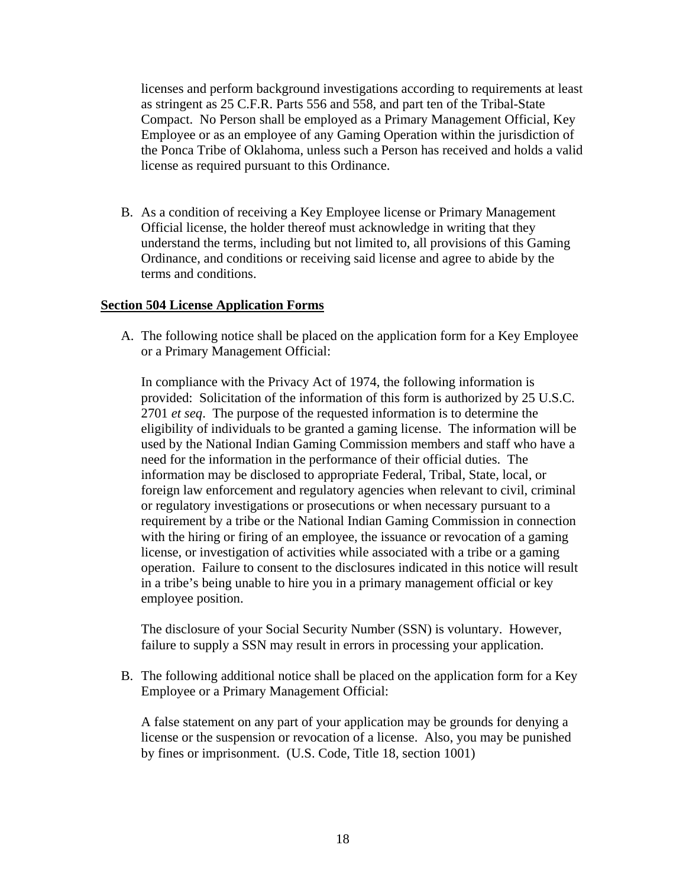licenses and perform background investigations according to requirements at least as stringent as 25 C.F.R. Parts 556 and 558, and part ten of the Tribal-State Compact. No Person shall be employed as a Primary Management Official, Key Employee or as an employee of any Gaming Operation within the jurisdiction of the Ponca Tribe of Oklahoma, unless such a Person has received and holds a valid license as required pursuant to this Ordinance.

B. As a condition of receiving a Key Employee license or Primary Management Official license, the holder thereof must acknowledge in writing that they understand the terms, including but not limited to, all provisions of this Gaming Ordinance, and conditions or receiving said license and agree to abide by the terms and conditions.

#### **Section 504 License Application Forms**

A. The following notice shall be placed on the application form for a Key Employee or a Primary Management Official:

In compliance with the Privacy Act of 1974, the following information is provided: Solicitation of the information of this form is authorized by 25 U.S.C. 2701 *et seq*. The purpose of the requested information is to determine the eligibility of individuals to be granted a gaming license. The information will be used by the National Indian Gaming Commission members and staff who have a need for the information in the performance of their official duties. The information may be disclosed to appropriate Federal, Tribal, State, local, or foreign law enforcement and regulatory agencies when relevant to civil, criminal or regulatory investigations or prosecutions or when necessary pursuant to a requirement by a tribe or the National Indian Gaming Commission in connection with the hiring or firing of an employee, the issuance or revocation of a gaming license, or investigation of activities while associated with a tribe or a gaming operation. Failure to consent to the disclosures indicated in this notice will result in a tribe's being unable to hire you in a primary management official or key employee position.

The disclosure of your Social Security Number (SSN) is voluntary. However, failure to supply a SSN may result in errors in processing your application.

B. The following additional notice shall be placed on the application form for a Key Employee or a Primary Management Official:

A false statement on any part of your application may be grounds for denying a license or the suspension or revocation of a license. Also, you may be punished by fines or imprisonment. (U.S. Code, Title 18, section 1001)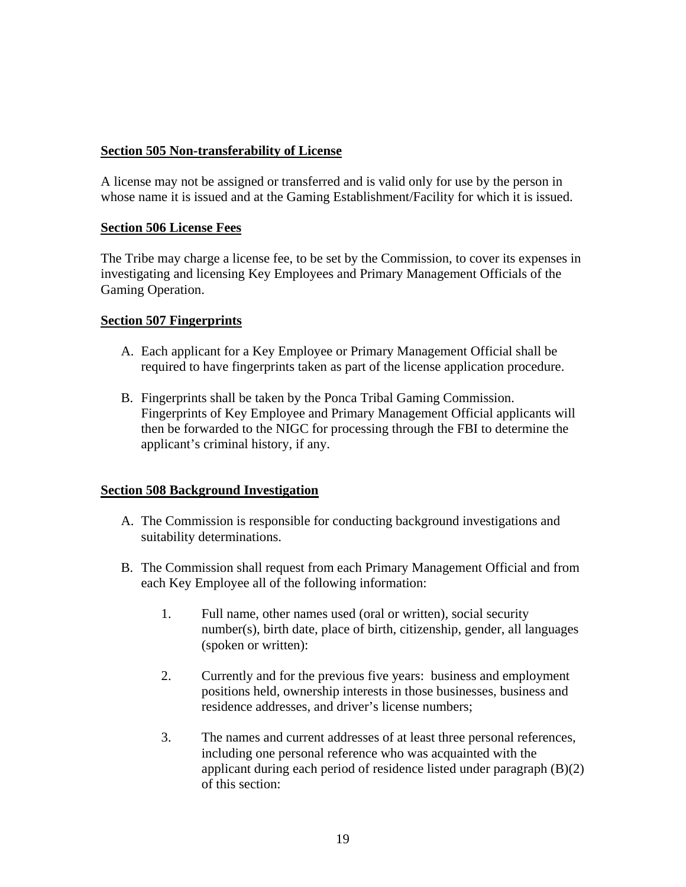# **Section 505 Non-transferability of License**

A license may not be assigned or transferred and is valid only for use by the person in whose name it is issued and at the Gaming Establishment/Facility for which it is issued.

# **Section 506 License Fees**

The Tribe may charge a license fee, to be set by the Commission, to cover its expenses in investigating and licensing Key Employees and Primary Management Officials of the Gaming Operation.

# **Section 507 Fingerprints**

- A. Each applicant for a Key Employee or Primary Management Official shall be required to have fingerprints taken as part of the license application procedure.
- B. Fingerprints shall be taken by the Ponca Tribal Gaming Commission. Fingerprints of Key Employee and Primary Management Official applicants will then be forwarded to the NIGC for processing through the FBI to determine the applicant's criminal history, if any.

# **Section 508 Background Investigation**

- A. The Commission is responsible for conducting background investigations and suitability determinations.
- B. The Commission shall request from each Primary Management Official and from each Key Employee all of the following information:
	- 1. Full name, other names used (oral or written), social security number(s), birth date, place of birth, citizenship, gender, all languages (spoken or written):
	- 2. Currently and for the previous five years: business and employment positions held, ownership interests in those businesses, business and residence addresses, and driver's license numbers;
	- 3. The names and current addresses of at least three personal references, including one personal reference who was acquainted with the applicant during each period of residence listed under paragraph (B)(2) of this section: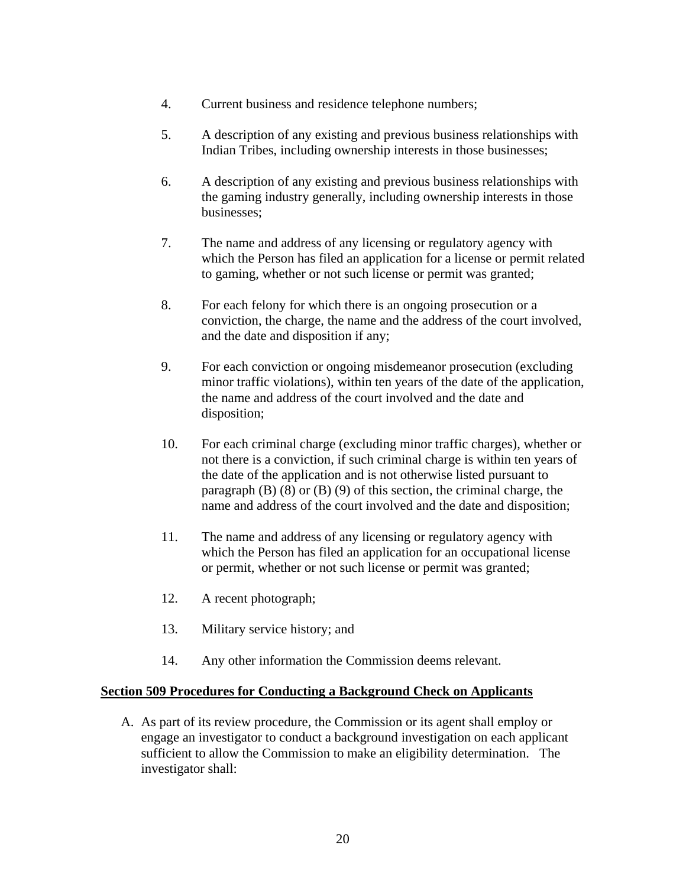- 4. Current business and residence telephone numbers;
- 5. A description of any existing and previous business relationships with Indian Tribes, including ownership interests in those businesses;
- 6. A description of any existing and previous business relationships with the gaming industry generally, including ownership interests in those businesses;
- 7. The name and address of any licensing or regulatory agency with which the Person has filed an application for a license or permit related to gaming, whether or not such license or permit was granted;
- 8. For each felony for which there is an ongoing prosecution or a conviction, the charge, the name and the address of the court involved, and the date and disposition if any;
- 9. For each conviction or ongoing misdemeanor prosecution (excluding minor traffic violations), within ten years of the date of the application, the name and address of the court involved and the date and disposition;
- 10. For each criminal charge (excluding minor traffic charges), whether or not there is a conviction, if such criminal charge is within ten years of the date of the application and is not otherwise listed pursuant to paragraph  $(B)$   $(8)$  or  $(B)$   $(9)$  of this section, the criminal charge, the name and address of the court involved and the date and disposition;
- 11. The name and address of any licensing or regulatory agency with which the Person has filed an application for an occupational license or permit, whether or not such license or permit was granted;
- 12. A recent photograph;
- 13. Military service history; and
- 14. Any other information the Commission deems relevant.

# **Section 509 Procedures for Conducting a Background Check on Applicants**

A. As part of its review procedure, the Commission or its agent shall employ or engage an investigator to conduct a background investigation on each applicant sufficient to allow the Commission to make an eligibility determination. The investigator shall: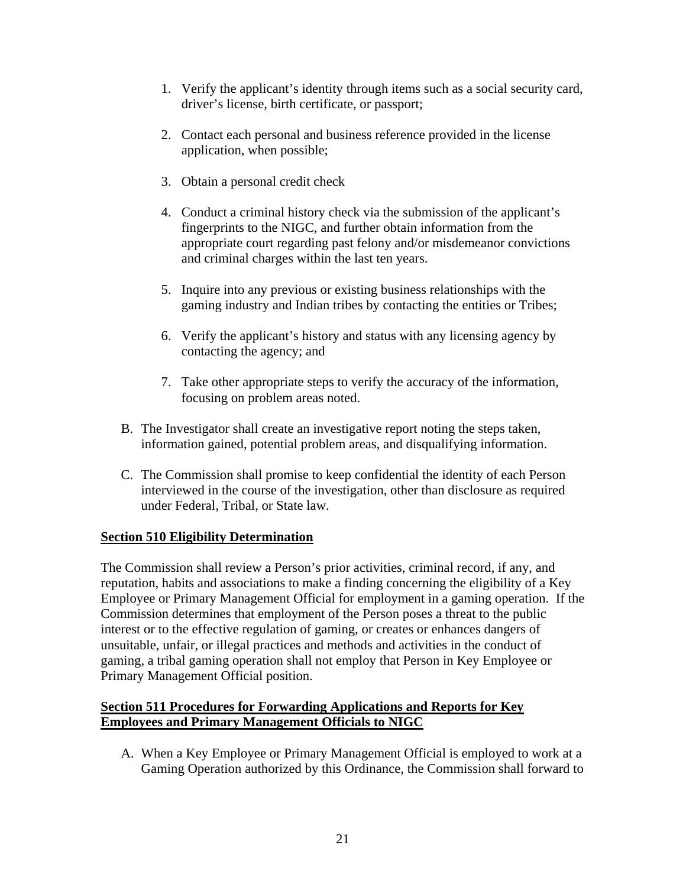- 1. Verify the applicant's identity through items such as a social security card, driver's license, birth certificate, or passport;
- 2. Contact each personal and business reference provided in the license application, when possible;
- 3. Obtain a personal credit check
- 4. Conduct a criminal history check via the submission of the applicant's fingerprints to the NIGC, and further obtain information from the appropriate court regarding past felony and/or misdemeanor convictions and criminal charges within the last ten years.
- 5. Inquire into any previous or existing business relationships with the gaming industry and Indian tribes by contacting the entities or Tribes;
- 6. Verify the applicant's history and status with any licensing agency by contacting the agency; and
- 7. Take other appropriate steps to verify the accuracy of the information, focusing on problem areas noted.
- B. The Investigator shall create an investigative report noting the steps taken, information gained, potential problem areas, and disqualifying information.
- C. The Commission shall promise to keep confidential the identity of each Person interviewed in the course of the investigation, other than disclosure as required under Federal, Tribal, or State law.

# **Section 510 Eligibility Determination**

The Commission shall review a Person's prior activities, criminal record, if any, and reputation, habits and associations to make a finding concerning the eligibility of a Key Employee or Primary Management Official for employment in a gaming operation. If the Commission determines that employment of the Person poses a threat to the public interest or to the effective regulation of gaming, or creates or enhances dangers of unsuitable, unfair, or illegal practices and methods and activities in the conduct of gaming, a tribal gaming operation shall not employ that Person in Key Employee or Primary Management Official position.

# **Section 511 Procedures for Forwarding Applications and Reports for Key Employees and Primary Management Officials to NIGC**

A. When a Key Employee or Primary Management Official is employed to work at a Gaming Operation authorized by this Ordinance, the Commission shall forward to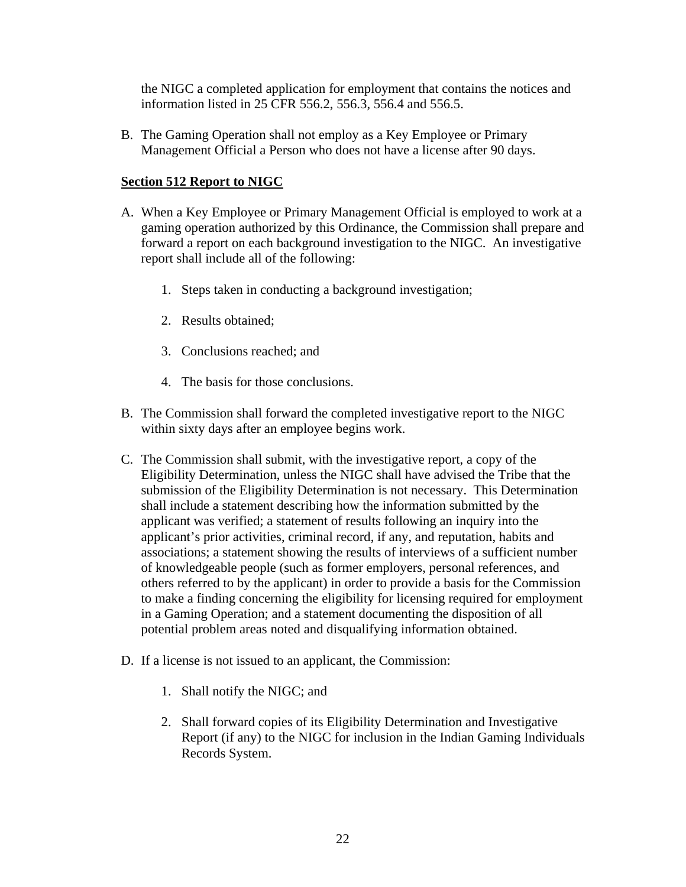the NIGC a completed application for employment that contains the notices and information listed in 25 CFR 556.2, 556.3, 556.4 and 556.5.

B. The Gaming Operation shall not employ as a Key Employee or Primary Management Official a Person who does not have a license after 90 days.

# **Section 512 Report to NIGC**

- A. When a Key Employee or Primary Management Official is employed to work at a gaming operation authorized by this Ordinance, the Commission shall prepare and forward a report on each background investigation to the NIGC. An investigative report shall include all of the following:
	- 1. Steps taken in conducting a background investigation;
	- 2. Results obtained;
	- 3. Conclusions reached; and
	- 4. The basis for those conclusions.
- B. The Commission shall forward the completed investigative report to the NIGC within sixty days after an employee begins work.
- C. The Commission shall submit, with the investigative report, a copy of the Eligibility Determination, unless the NIGC shall have advised the Tribe that the submission of the Eligibility Determination is not necessary. This Determination shall include a statement describing how the information submitted by the applicant was verified; a statement of results following an inquiry into the applicant's prior activities, criminal record, if any, and reputation, habits and associations; a statement showing the results of interviews of a sufficient number of knowledgeable people (such as former employers, personal references, and others referred to by the applicant) in order to provide a basis for the Commission to make a finding concerning the eligibility for licensing required for employment in a Gaming Operation; and a statement documenting the disposition of all potential problem areas noted and disqualifying information obtained.
- D. If a license is not issued to an applicant, the Commission:
	- 1. Shall notify the NIGC; and
	- 2. Shall forward copies of its Eligibility Determination and Investigative Report (if any) to the NIGC for inclusion in the Indian Gaming Individuals Records System.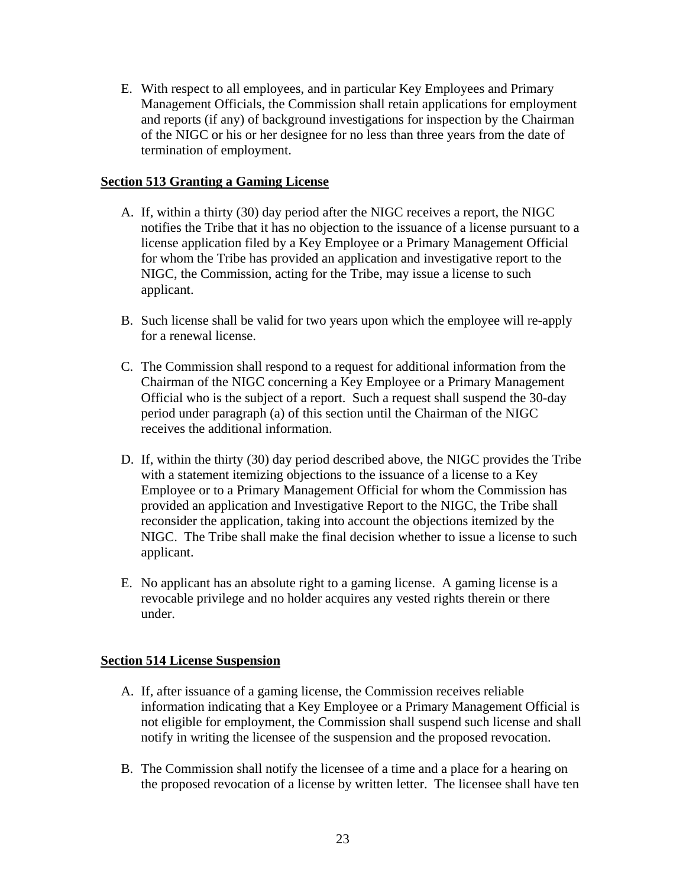E. With respect to all employees, and in particular Key Employees and Primary Management Officials, the Commission shall retain applications for employment and reports (if any) of background investigations for inspection by the Chairman of the NIGC or his or her designee for no less than three years from the date of termination of employment.

# **Section 513 Granting a Gaming License**

- A. If, within a thirty (30) day period after the NIGC receives a report, the NIGC notifies the Tribe that it has no objection to the issuance of a license pursuant to a license application filed by a Key Employee or a Primary Management Official for whom the Tribe has provided an application and investigative report to the NIGC, the Commission, acting for the Tribe, may issue a license to such applicant.
- B. Such license shall be valid for two years upon which the employee will re-apply for a renewal license.
- C. The Commission shall respond to a request for additional information from the Chairman of the NIGC concerning a Key Employee or a Primary Management Official who is the subject of a report. Such a request shall suspend the 30-day period under paragraph (a) of this section until the Chairman of the NIGC receives the additional information.
- D. If, within the thirty (30) day period described above, the NIGC provides the Tribe with a statement itemizing objections to the issuance of a license to a Key Employee or to a Primary Management Official for whom the Commission has provided an application and Investigative Report to the NIGC, the Tribe shall reconsider the application, taking into account the objections itemized by the NIGC. The Tribe shall make the final decision whether to issue a license to such applicant.
- E. No applicant has an absolute right to a gaming license. A gaming license is a revocable privilege and no holder acquires any vested rights therein or there under.

# **Section 514 License Suspension**

- A. If, after issuance of a gaming license, the Commission receives reliable information indicating that a Key Employee or a Primary Management Official is not eligible for employment, the Commission shall suspend such license and shall notify in writing the licensee of the suspension and the proposed revocation.
- B. The Commission shall notify the licensee of a time and a place for a hearing on the proposed revocation of a license by written letter. The licensee shall have ten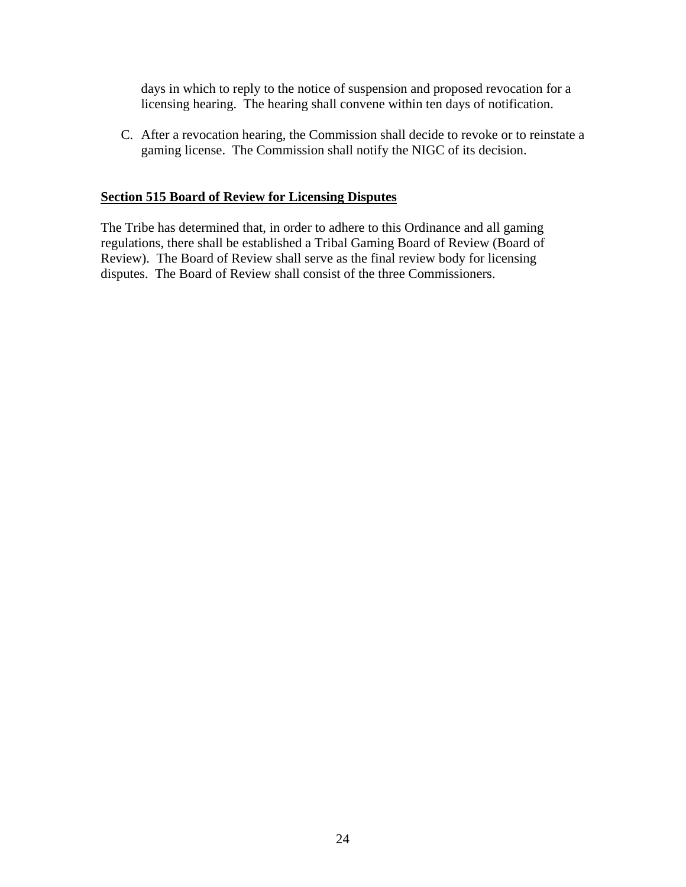days in which to reply to the notice of suspension and proposed revocation for a licensing hearing. The hearing shall convene within ten days of notification.

C. After a revocation hearing, the Commission shall decide to revoke or to reinstate a gaming license. The Commission shall notify the NIGC of its decision.

#### **Section 515 Board of Review for Licensing Disputes**

The Tribe has determined that, in order to adhere to this Ordinance and all gaming regulations, there shall be established a Tribal Gaming Board of Review (Board of Review). The Board of Review shall serve as the final review body for licensing disputes. The Board of Review shall consist of the three Commissioners.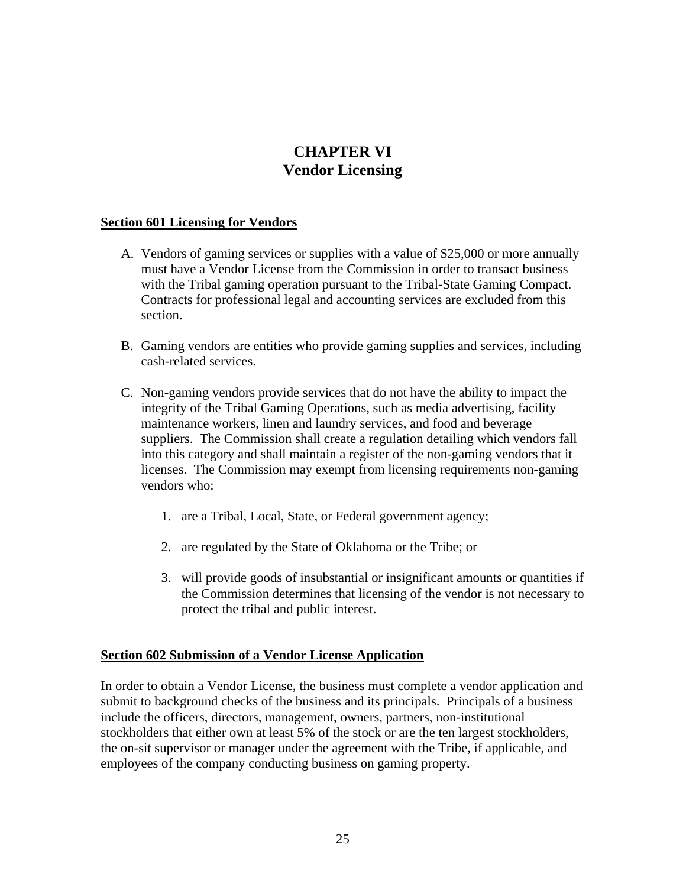# **CHAPTER VI Vendor Licensing**

#### **Section 601 Licensing for Vendors**

- A. Vendors of gaming services or supplies with a value of \$25,000 or more annually must have a Vendor License from the Commission in order to transact business with the Tribal gaming operation pursuant to the Tribal-State Gaming Compact. Contracts for professional legal and accounting services are excluded from this section.
- B. Gaming vendors are entities who provide gaming supplies and services, including cash-related services.
- C. Non-gaming vendors provide services that do not have the ability to impact the integrity of the Tribal Gaming Operations, such as media advertising, facility maintenance workers, linen and laundry services, and food and beverage suppliers. The Commission shall create a regulation detailing which vendors fall into this category and shall maintain a register of the non-gaming vendors that it licenses. The Commission may exempt from licensing requirements non-gaming vendors who:
	- 1. are a Tribal, Local, State, or Federal government agency;
	- 2. are regulated by the State of Oklahoma or the Tribe; or
	- 3. will provide goods of insubstantial or insignificant amounts or quantities if the Commission determines that licensing of the vendor is not necessary to protect the tribal and public interest.

#### **Section 602 Submission of a Vendor License Application**

In order to obtain a Vendor License, the business must complete a vendor application and submit to background checks of the business and its principals. Principals of a business include the officers, directors, management, owners, partners, non-institutional stockholders that either own at least 5% of the stock or are the ten largest stockholders, the on-sit supervisor or manager under the agreement with the Tribe, if applicable, and employees of the company conducting business on gaming property.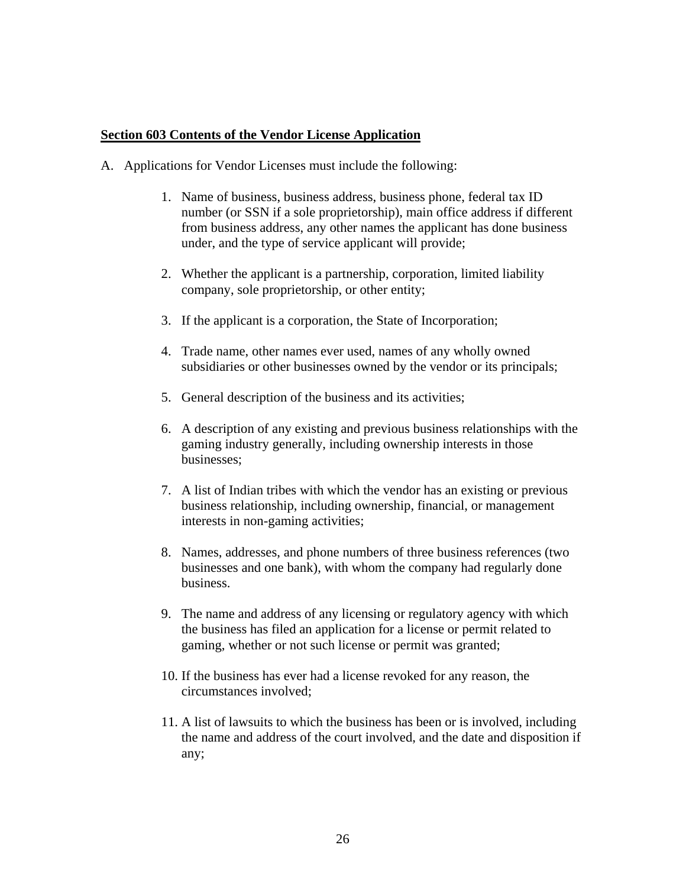#### **Section 603 Contents of the Vendor License Application**

- A. Applications for Vendor Licenses must include the following:
	- 1. Name of business, business address, business phone, federal tax ID number (or SSN if a sole proprietorship), main office address if different from business address, any other names the applicant has done business under, and the type of service applicant will provide;
	- 2. Whether the applicant is a partnership, corporation, limited liability company, sole proprietorship, or other entity;
	- 3. If the applicant is a corporation, the State of Incorporation;
	- 4. Trade name, other names ever used, names of any wholly owned subsidiaries or other businesses owned by the vendor or its principals;
	- 5. General description of the business and its activities;
	- 6. A description of any existing and previous business relationships with the gaming industry generally, including ownership interests in those businesses;
	- 7. A list of Indian tribes with which the vendor has an existing or previous business relationship, including ownership, financial, or management interests in non-gaming activities;
	- 8. Names, addresses, and phone numbers of three business references (two businesses and one bank), with whom the company had regularly done business.
	- 9. The name and address of any licensing or regulatory agency with which the business has filed an application for a license or permit related to gaming, whether or not such license or permit was granted;
	- 10. If the business has ever had a license revoked for any reason, the circumstances involved;
	- 11. A list of lawsuits to which the business has been or is involved, including the name and address of the court involved, and the date and disposition if any;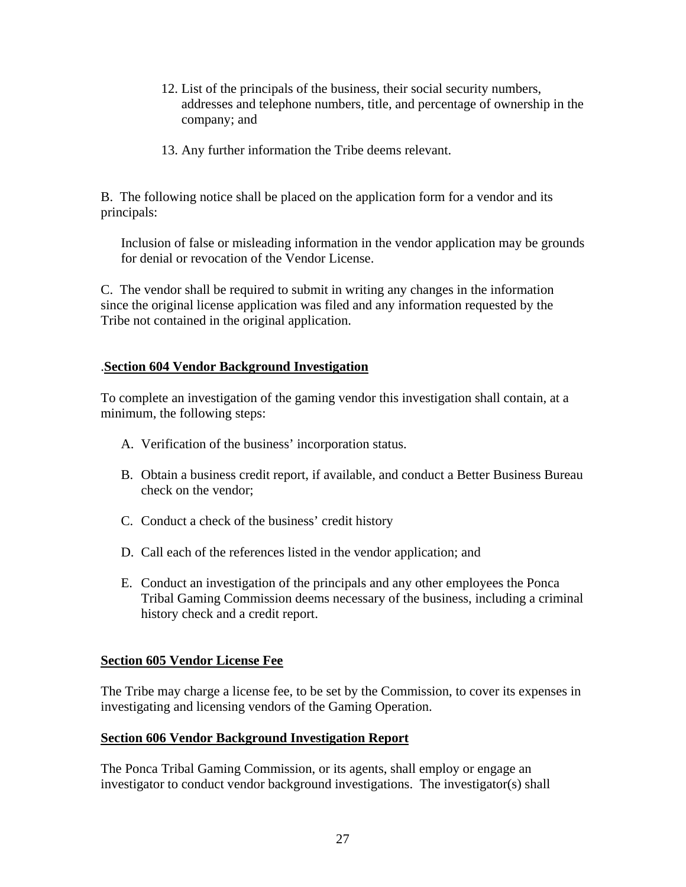- 12. List of the principals of the business, their social security numbers, addresses and telephone numbers, title, and percentage of ownership in the company; and
- 13. Any further information the Tribe deems relevant.

B. The following notice shall be placed on the application form for a vendor and its principals:

Inclusion of false or misleading information in the vendor application may be grounds for denial or revocation of the Vendor License.

C. The vendor shall be required to submit in writing any changes in the information since the original license application was filed and any information requested by the Tribe not contained in the original application.

# .**Section 604 Vendor Background Investigation**

To complete an investigation of the gaming vendor this investigation shall contain, at a minimum, the following steps:

- A. Verification of the business' incorporation status.
- B. Obtain a business credit report, if available, and conduct a Better Business Bureau check on the vendor;
- C. Conduct a check of the business' credit history
- D. Call each of the references listed in the vendor application; and
- E. Conduct an investigation of the principals and any other employees the Ponca Tribal Gaming Commission deems necessary of the business, including a criminal history check and a credit report.

#### **Section 605 Vendor License Fee**

The Tribe may charge a license fee, to be set by the Commission, to cover its expenses in investigating and licensing vendors of the Gaming Operation.

#### **Section 606 Vendor Background Investigation Report**

The Ponca Tribal Gaming Commission, or its agents, shall employ or engage an investigator to conduct vendor background investigations. The investigator(s) shall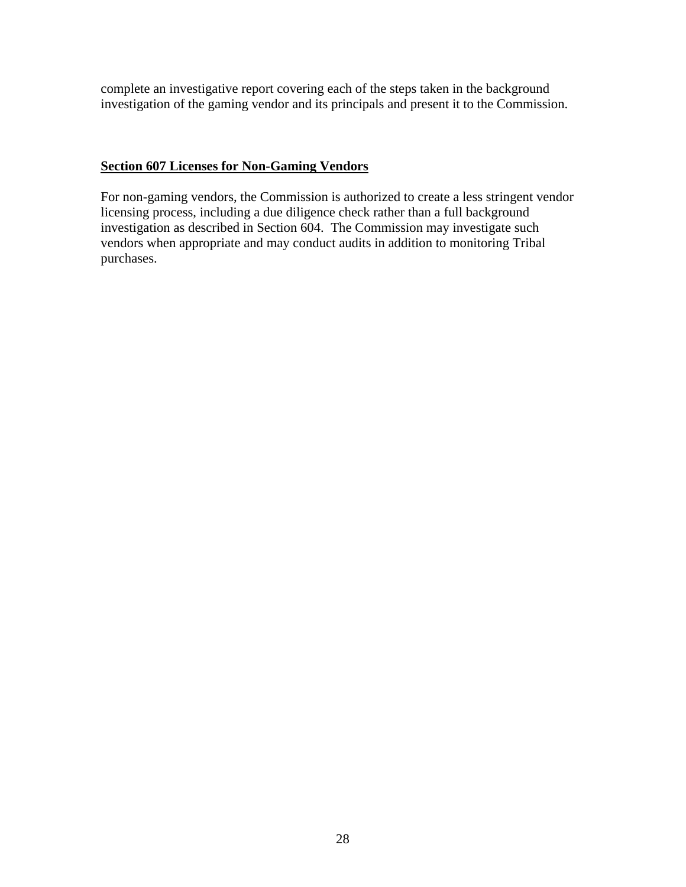complete an investigative report covering each of the steps taken in the background investigation of the gaming vendor and its principals and present it to the Commission.

# **Section 607 Licenses for Non-Gaming Vendors**

For non-gaming vendors, the Commission is authorized to create a less stringent vendor licensing process, including a due diligence check rather than a full background investigation as described in Section 604. The Commission may investigate such vendors when appropriate and may conduct audits in addition to monitoring Tribal purchases.